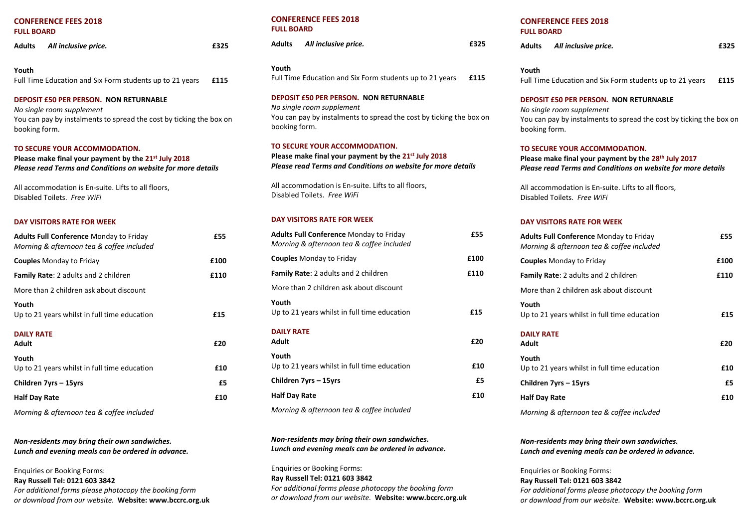# **CONFERENCE FEES 2018 FULL BOARD**

| Adults | All inclusive price.                                     | £325 |
|--------|----------------------------------------------------------|------|
| Youth  | Full Time Education and Six Form students up to 21 years | £115 |

**DEPOSIT £50 PER PERSON. NON RETURNABLE** *No single room supplement*  You can pay by instalments to spread the cost by ticking the box on booking form.

#### **TO SECURE YOUR ACCOMMODATION.**

**Please make final your payment by the 21 st July 2018**  *Please read Terms and Conditions on website for more details* 

All accommodation is En-suite. Lifts to all floors, Disabled Toilets. *Free WiFi*

#### **DAY VISITORS RATE FOR WEEK**

| <b>Adults Full Conference Monday to Friday</b><br>Morning & afternoon tea & coffee included | £55  |
|---------------------------------------------------------------------------------------------|------|
| <b>Couples</b> Monday to Friday                                                             | £100 |
| <b>Family Rate:</b> 2 adults and 2 children                                                 | £110 |
| More than 2 children ask about discount                                                     |      |
| Youth<br>Up to 21 years whilst in full time education                                       | £15  |
| <b>DAILY RATE</b><br>Adult                                                                  | £20  |
| Youth<br>Up to 21 years whilst in full time education                                       | £10  |
| Children 7yrs – 15yrs                                                                       | £5   |
| <b>Half Day Rate</b>                                                                        | £10  |

*Morning & afternoon tea & coffee included* 

*Non-residents may bring their own sandwiches. Lunch and evening meals can be ordered in advance.*

Enquiries or Booking Forms: **Ray Russell Tel: 0121 603 3842**  *For additional forms please photocopy the booking form or download from our website.* **Website: www.bccrc.org.uk**

## **CONFERENCE FEES 2018 FULL BOARD**

| Adults | All inclusive price. | £325 |
|--------|----------------------|------|
|        |                      |      |

**Youth**

| Full Time Education and Six Form students up to 21 years |  | £115 |
|----------------------------------------------------------|--|------|
|----------------------------------------------------------|--|------|

## **DEPOSIT £50 PER PERSON. NON RETURNABLE** *No single room supplement*

You can pay by instalments to spread the cost by ticking the box on booking form.

#### **TO SECURE YOUR ACCOMMODATION.**

**Please make final your payment by the 21 st July 2018**  *Please read Terms and Conditions on website for more details* 

All accommodation is En-suite. Lifts to all floors, Disabled Toilets. *Free WiFi*

## **DAY VISITORS RATE FOR WEEK**

| <b>Adults Full Conference Monday to Friday</b><br>Morning & afternoon tea & coffee included | £55  |
|---------------------------------------------------------------------------------------------|------|
| <b>Couples</b> Monday to Friday                                                             | £100 |
| <b>Family Rate:</b> 2 adults and 2 children                                                 | £110 |
| More than 2 children ask about discount                                                     |      |
| Youth<br>Up to 21 years whilst in full time education                                       | £15  |
| <b>DAILY RATE</b><br>Adult                                                                  | £20  |
| Youth<br>Up to 21 years whilst in full time education                                       | £10  |
| Children 7yrs – 15yrs                                                                       | £5.  |
| <b>Half Day Rate</b>                                                                        | £10  |
| Morning & afternoon tea & coffee included                                                   |      |

*Non-residents may bring their own sandwiches. Lunch and evening meals can be ordered in advance.*

Enquiries or Booking Forms: **Ray Russell Tel: 0121 603 3842**  *For additional forms please photocopy the booking form or download from our website.* **Website: www.bccrc.org.uk**

## **CONFERENCE FEES 2018 FULL BOARD**

| Adults | All inclusive price. | £325 |
|--------|----------------------|------|
|        |                      |      |

**Youth** Full Time Education and Six Form students up to 21 years **£115** 

#### **DEPOSIT £50 PER PERSON. NON RETURNABLE**

*No single room supplement*  You can pay by instalments to spread the cost by ticking the box on booking form.

## **TO SECURE YOUR ACCOMMODATION.**

**Please make final your payment by the 28th July 2017**  *Please read Terms and Conditions on website for more details* 

All accommodation is En-suite. Lifts to all floors, Disabled Toilets. *Free WiFi*

## **DAY VISITORS RATE FOR WEEK**

| <b>Adults Full Conference Monday to Friday</b><br>Morning & afternoon tea & coffee included | £55  |
|---------------------------------------------------------------------------------------------|------|
| <b>Couples</b> Monday to Friday                                                             | £100 |
| <b>Family Rate:</b> 2 adults and 2 children                                                 | £110 |
| More than 2 children ask about discount                                                     |      |
| Youth<br>Up to 21 years whilst in full time education                                       | £15  |
| <b>DAILY RATE</b><br>Adult                                                                  | £20  |
| Youth<br>Up to 21 years whilst in full time education                                       | £10  |
| Children 7yrs – 15yrs                                                                       | £5   |
| <b>Half Day Rate</b>                                                                        | £10  |
| Morning & afternoon tea & coffee included                                                   |      |

*Non-residents may bring their own sandwiches. Lunch and evening meals can be ordered in advance.*

Enquiries or Booking Forms: **Ray Russell Tel: 0121 603 3842**  *For additional forms please photocopy the booking form or download from our website.* **Website: www.bccrc.org.uk**